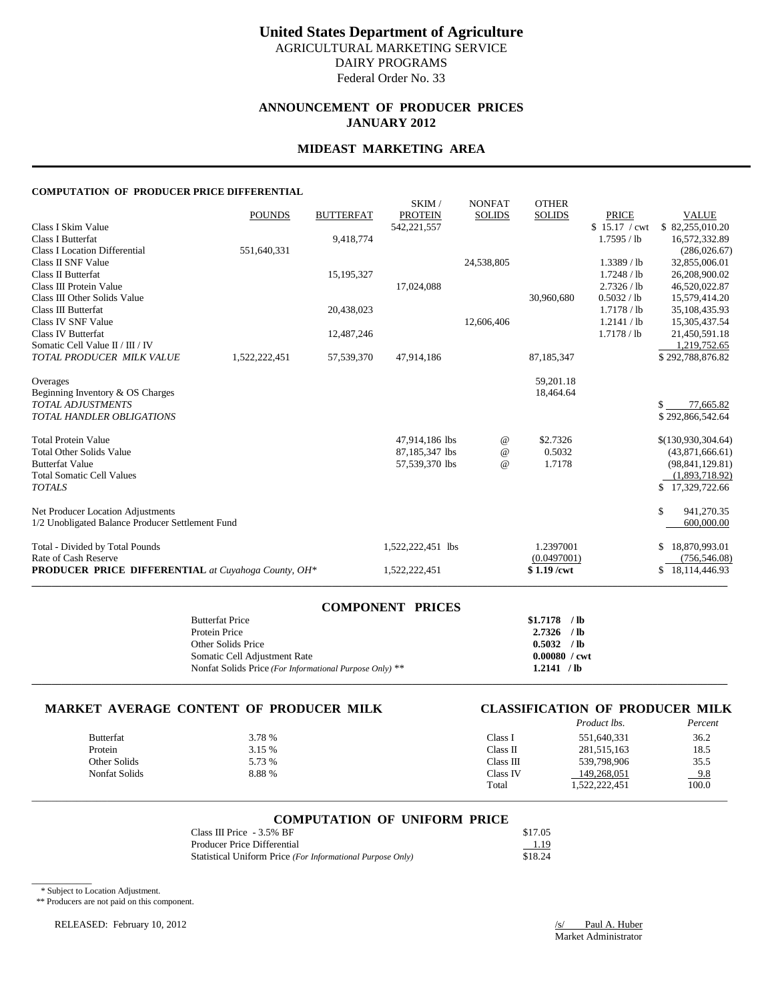# **ANNOUNCEMENT OF PRODUCER PRICES JANUARY 2012**

### **MIDEAST MARKETING AREA**

### **COMPUTATION OF PRODUCER PRICE DIFFERENTIAL**

|                                                            | <b>POUNDS</b> | <b>BUTTERFAT</b> | SKIM/<br><b>PROTEIN</b> | <b>NONFAT</b><br><b>SOLIDS</b> | <b>OTHER</b><br><b>SOLIDS</b> | <b>PRICE</b>  | <b>VALUE</b>        |
|------------------------------------------------------------|---------------|------------------|-------------------------|--------------------------------|-------------------------------|---------------|---------------------|
| Class I Skim Value                                         |               |                  | 542, 221, 557           |                                |                               | \$15.17 / cwt | \$82,255,010.20     |
| <b>Class I Butterfat</b>                                   |               | 9,418,774        |                         |                                |                               | 1.7595 / lb   | 16,572,332.89       |
| <b>Class I Location Differential</b>                       | 551,640,331   |                  |                         |                                |                               |               | (286, 026.67)       |
| Class II SNF Value                                         |               |                  |                         | 24,538,805                     |                               | $1.3389$ / lb | 32,855,006.01       |
| Class II Butterfat                                         |               | 15, 195, 327     |                         |                                |                               | 1.7248 / lb   | 26,208,900.02       |
| Class III Protein Value                                    |               |                  | 17,024,088              |                                |                               | 2.7326 / lb   | 46,520,022.87       |
| Class III Other Solids Value                               |               |                  |                         |                                | 30,960,680                    | 0.5032 / lb   | 15,579,414.20       |
| Class III Butterfat                                        |               | 20,438,023       |                         |                                |                               | 1.7178 / lb   | 35,108,435.93       |
| Class IV SNF Value                                         |               |                  |                         | 12,606,406                     |                               | 1.2141 / lb   | 15,305,437.54       |
| Class IV Butterfat                                         |               | 12,487,246       |                         |                                |                               | 1.7178 / lb   | 21,450,591.18       |
| Somatic Cell Value II / III / IV                           |               |                  |                         |                                |                               |               | 1,219,752.65        |
| TOTAL PRODUCER MILK VALUE                                  | 1,522,222,451 | 57,539,370       | 47,914,186              |                                | 87, 185, 347                  |               | \$292,788,876.82    |
| Overages                                                   |               |                  |                         |                                | 59,201.18                     |               |                     |
| Beginning Inventory & OS Charges                           |               |                  |                         |                                | 18,464.64                     |               |                     |
| <b>TOTAL ADJUSTMENTS</b>                                   |               |                  |                         |                                |                               |               | 77,665.82<br>SS.    |
| <b>TOTAL HANDLER OBLIGATIONS</b>                           |               |                  |                         |                                |                               |               | \$292,866,542.64    |
| <b>Total Protein Value</b>                                 |               |                  | 47,914,186 lbs          | $^{\,a}$                       | \$2.7326                      |               | \$(130,930,304.64)  |
| <b>Total Other Solids Value</b>                            |               |                  | 87,185,347 lbs          | $^{\copyright}$                | 0.5032                        |               | (43,871,666.61)     |
| <b>Butterfat Value</b>                                     |               |                  | 57,539,370 lbs          | $\omega$                       | 1.7178                        |               | (98, 841, 129.81)   |
| <b>Total Somatic Cell Values</b>                           |               |                  |                         |                                |                               |               | (1,893,718.92)      |
| <b>TOTALS</b>                                              |               |                  |                         |                                |                               |               | \$17,329,722.66     |
| Net Producer Location Adjustments                          |               |                  |                         |                                |                               |               | \$<br>941,270.35    |
| 1/2 Unobligated Balance Producer Settlement Fund           |               |                  |                         |                                |                               |               | 600,000.00          |
| Total - Divided by Total Pounds                            |               |                  | 1,522,222,451 lbs       |                                | 1.2397001                     |               | 18,870,993.01<br>\$ |
| Rate of Cash Reserve                                       |               |                  |                         |                                | (0.0497001)                   |               | (756, 546.08)       |
| <b>PRODUCER PRICE DIFFERENTIAL</b> at Cuyahoga County, OH* |               |                  | 1,522,222,451           |                                | $$1.19$ /cwt                  |               | \$18,114,446.93     |
|                                                            |               |                  |                         |                                |                               |               |                     |

| <b>COMPONENT PRICES</b>                                 |                        |  |
|---------------------------------------------------------|------------------------|--|
| <b>Butterfat Price</b>                                  | $$1.7178$ /lb          |  |
| Protein Price                                           | $2.7326$ /lb           |  |
| Other Solids Price                                      | 0.5032 / lb            |  |
| Somatic Cell Adjustment Rate                            | $0.00080 / \text{cwt}$ |  |
| Nonfat Solids Price (For Informational Purpose Only) ** | 1.2141 / lb            |  |
|                                                         |                        |  |

# **MARKET AVERAGE CONTENT OF PRODUCER MILK CLASSIFICATION OF PRODUCER MILK**

|                  |        |           | <i>Product lbs.</i> | Percent |
|------------------|--------|-----------|---------------------|---------|
| <b>Butterfat</b> | 3.78 % | Class I   | 551,640,331         | 36.2    |
| Protein          | 3.15 % | Class II  | 281,515,163         | 18.5    |
| Other Solids     | 5.73 % | Class III | 539.798.906         | 35.5    |
| Nonfat Solids    | 8.88%  | Class IV  | 149.268.051         | $-9.8$  |
|                  |        | Total     | 1,522,222,451       | 100.0   |

# \_\_\_\_\_\_\_\_\_\_\_\_\_\_\_\_\_\_\_\_\_\_\_\_\_\_\_\_\_\_\_\_\_\_\_\_\_\_\_\_\_\_\_\_\_\_\_\_\_\_\_\_\_\_\_\_\_\_\_\_\_\_\_\_\_\_\_\_\_\_\_\_\_\_\_\_\_\_\_\_\_\_\_\_\_\_\_\_\_\_\_\_\_\_\_\_\_\_\_\_\_\_\_\_\_\_\_\_\_\_\_\_\_\_\_\_\_\_\_\_\_\_\_\_\_\_\_\_\_\_\_\_\_\_\_\_\_\_\_ **COMPUTATION OF UNIFORM PRICE**

| Class III Price $-3.5\%$ BF                                | \$17.05 |
|------------------------------------------------------------|---------|
| Producer Price Differential                                | 1.19    |
| Statistical Uniform Price (For Informational Purpose Only) | \$18.24 |

\* Subject to Location Adjustment.

 $\overline{\phantom{a}}$ 

\*\* Producers are not paid on this component.

RELEASED: February 10, 2012 <br>
<u>/s/ Paul A. Huber</u>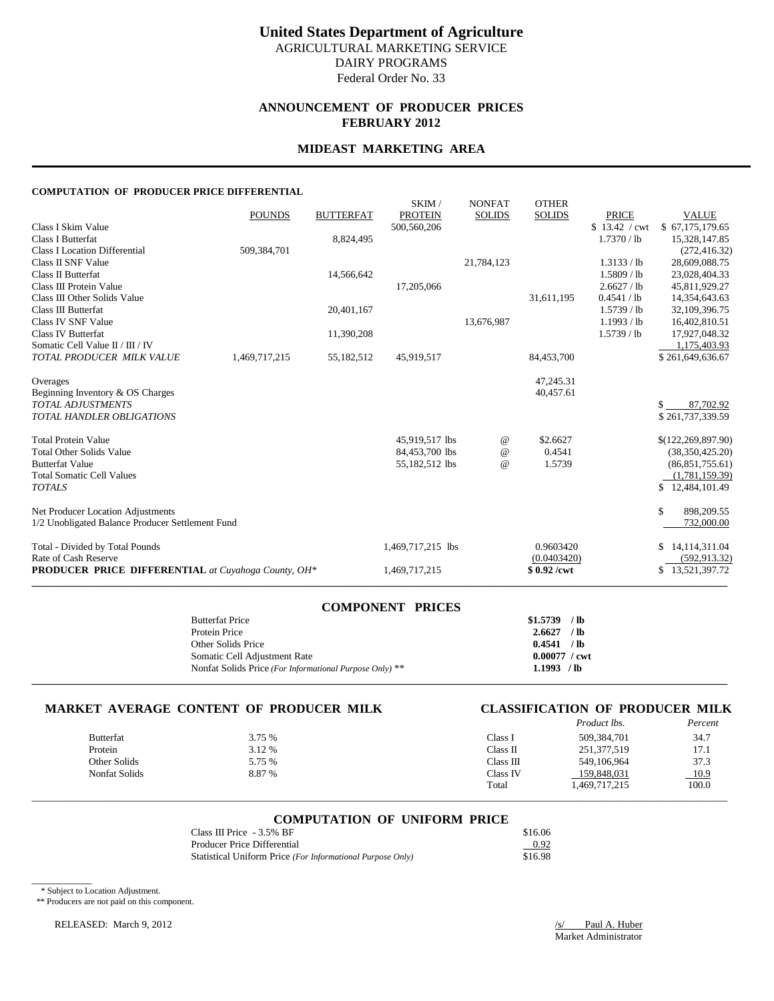## **ANNOUNCEMENT OF PRODUCER PRICES FEBRUARY 2012**

# **MIDEAST MARKETING AREA**

### **COMPUTATION OF PRODUCER PRICE DIFFERENTIAL**

|                                                            | <b>POUNDS</b> | <b>BUTTERFAT</b> | SKIM/<br><b>PROTEIN</b> | <b>NONFAT</b><br><b>SOLIDS</b> | <b>OTHER</b><br><b>SOLIDS</b> | <b>PRICE</b>  | <b>VALUE</b>         |
|------------------------------------------------------------|---------------|------------------|-------------------------|--------------------------------|-------------------------------|---------------|----------------------|
| Class I Skim Value                                         |               |                  | 500,560,206             |                                |                               | \$13.42 / cwt | \$67,175,179.65      |
| <b>Class I Butterfat</b>                                   |               | 8,824,495        |                         |                                |                               | 1.7370 / lb   | 15,328,147.85        |
| <b>Class I Location Differential</b>                       | 509,384,701   |                  |                         |                                |                               |               | (272, 416.32)        |
| Class II SNF Value                                         |               |                  |                         | 21,784,123                     |                               | 1.3133 / lb   | 28,609,088.75        |
| Class II Butterfat                                         |               | 14,566,642       |                         |                                |                               | 1.5809 / lb   | 23,028,404.33        |
| Class III Protein Value                                    |               |                  | 17,205,066              |                                |                               | 2.6627 / lb   | 45,811,929.27        |
| Class III Other Solids Value                               |               |                  |                         |                                | 31,611,195                    | 0.4541 / lb   | 14,354,643.63        |
| Class III Butterfat                                        |               | 20,401,167       |                         |                                |                               | $1.5739$ / lb | 32,109,396.75        |
| Class IV SNF Value                                         |               |                  |                         | 13,676,987                     |                               | 1.1993 / lb   | 16,402,810.51        |
| Class IV Butterfat                                         |               | 11,390,208       |                         |                                |                               | $1.5739$ / lb | 17,927,048.32        |
| Somatic Cell Value II / III / IV                           |               |                  |                         |                                |                               |               | 1,175,403.93         |
| TOTAL PRODUCER MILK VALUE                                  | 1,469,717,215 | 55,182,512       | 45,919,517              |                                | 84,453,700                    |               | \$261,649,636.67     |
| Overages                                                   |               |                  |                         |                                | 47,245.31                     |               |                      |
| Beginning Inventory & OS Charges                           |               |                  |                         |                                | 40,457.61                     |               |                      |
| <b>TOTAL ADJUSTMENTS</b>                                   |               |                  |                         |                                |                               |               | \$.<br>87,702.92     |
| <b>TOTAL HANDLER OBLIGATIONS</b>                           |               |                  |                         |                                |                               |               | \$261,737,339.59     |
| <b>Total Protein Value</b>                                 |               |                  | 45,919,517 lbs          | $^{\,a}$                       | \$2.6627                      |               | \$(122, 269, 897.90) |
| <b>Total Other Solids Value</b>                            |               |                  | 84,453,700 lbs          | $^{\copyright}$                | 0.4541                        |               | (38, 350, 425.20)    |
| <b>Butterfat Value</b>                                     |               |                  | 55,182,512 lbs          | $\omega$                       | 1.5739                        |               | (86,851,755.61)      |
| <b>Total Somatic Cell Values</b>                           |               |                  |                         |                                |                               |               | (1,781,159.39)       |
| <b>TOTALS</b>                                              |               |                  |                         |                                |                               |               | \$12,484,101.49      |
| Net Producer Location Adjustments                          |               |                  |                         |                                |                               |               | \$<br>898,209.55     |
| 1/2 Unobligated Balance Producer Settlement Fund           |               |                  |                         |                                |                               |               | 732,000.00           |
| Total - Divided by Total Pounds                            |               |                  | 1,469,717,215 lbs       |                                | 0.9603420                     |               | \$14,114,311.04      |
| Rate of Cash Reserve                                       |               |                  |                         |                                | (0.0403420)                   |               | (592, 913.32)        |
| <b>PRODUCER PRICE DIFFERENTIAL</b> at Cuyahoga County, OH* |               |                  | 1,469,717,215           |                                | $$0.92$ /cwt                  |               | \$13,521,397.72      |
|                                                            |               |                  |                         |                                |                               |               |                      |

| <b>COMPONENT PRICES</b>                                 |                        |  |
|---------------------------------------------------------|------------------------|--|
| <b>Butterfat Price</b>                                  | $$1.5739$ /lb          |  |
| Protein Price                                           | $2.6627$ /lb           |  |
| Other Solids Price                                      | 0.4541 / lb            |  |
| Somatic Cell Adjustment Rate                            | $0.00077 / \text{cwt}$ |  |
| Nonfat Solids Price (For Informational Purpose Only) ** | $1.1993$ /lb           |  |
|                                                         |                        |  |

# **MARKET AVERAGE CONTENT OF PRODUCER MILK CLASSIFICATION OF PRODUCER MILK**

| CLASSIFICATION OF PRODUCER MILK |                    |  |         |
|---------------------------------|--------------------|--|---------|
|                                 | <b>Product lbs</b> |  | Percent |

|               |        |            | 110aac w.     | 1 c/cc/4 |
|---------------|--------|------------|---------------|----------|
| Butterfat     | 3.75 % | Class 1    | 509.384.701   | 34.7     |
| Protein       | 3.12 % | ∵lass II   | 251,377,519   | 17.1     |
| Other Solids  | 5.75 % | °Class III | 549,106,964   | 37.3     |
| Nonfat Solids | 8.87 % | Class IV   | 159.848.031   | 10.9     |
|               |        | Total      | 1,469,717,215 | 100.0    |
|               |        |            |               |          |

# \_\_\_\_\_\_\_\_\_\_\_\_\_\_\_\_\_\_\_\_\_\_\_\_\_\_\_\_\_\_\_\_\_\_\_\_\_\_\_\_\_\_\_\_\_\_\_\_\_\_\_\_\_\_\_\_\_\_\_\_\_\_\_\_\_\_\_\_\_\_\_\_\_\_\_\_\_\_\_\_\_\_\_\_\_\_\_\_\_\_\_\_\_\_\_\_\_\_\_\_\_\_\_\_\_\_\_\_\_\_\_\_\_\_\_\_\_\_\_\_\_\_\_\_\_\_\_\_\_\_\_\_\_\_\_\_\_\_\_ **COMPUTATION OF UNIFORM PRICE**

| Class III Price $-3.5\%$ BF                                | \$16.06 |
|------------------------------------------------------------|---------|
| Producer Price Differential                                | 0.92    |
| Statistical Uniform Price (For Informational Purpose Only) | \$16.98 |

\* Subject to Location Adjustment.

 $\overline{\phantom{a}}$ 

\*\* Producers are not paid on this component.

RELEASED: March 9, 2012 <br>
<u>/s/ Paul A. Huber</u>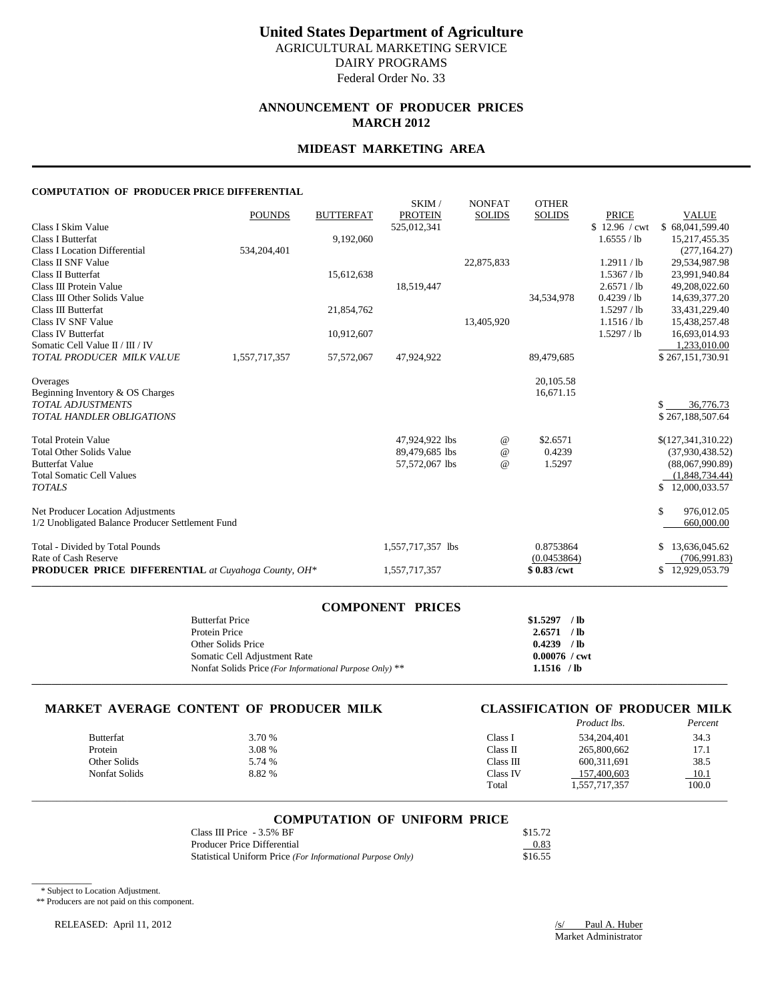# **ANNOUNCEMENT OF PRODUCER PRICES MARCH 2012**

### **MIDEAST MARKETING AREA**

### **COMPUTATION OF PRODUCER PRICE DIFFERENTIAL**

| PRODUCER PRICE DIFFERENTIAL at Cuyahoga County, OH*                                              |               |                  | 1,557,717,357                    |                                | $$0.83$ /cwt                  |                                             | \$12,929,053.79                                      |
|--------------------------------------------------------------------------------------------------|---------------|------------------|----------------------------------|--------------------------------|-------------------------------|---------------------------------------------|------------------------------------------------------|
| Total - Divided by Total Pounds<br>Rate of Cash Reserve                                          |               |                  | 1,557,717,357 lbs                |                                | 0.8753864<br>(0.0453864)      |                                             | \$13,636,045.62<br>(706, 991.83)                     |
| Net Producer Location Adjustments<br>1/2 Unobligated Balance Producer Settlement Fund            |               |                  |                                  |                                |                               |                                             | \$<br>976,012.05<br>660,000.00                       |
| <b>Butterfat Value</b><br><b>Total Somatic Cell Values</b><br><b>TOTALS</b>                      |               |                  | 57,572,067 lbs                   | $\omega$                       | 1.5297                        |                                             | (88,067,990.89)<br>(1,848,734.44)<br>\$12,000,033.57 |
| <b>Total Protein Value</b><br><b>Total Other Solids Value</b>                                    |               |                  | 47,924,922 lbs<br>89,479,685 lbs | $^{\,a}$<br>$^{\omega}{}$      | \$2.6571<br>0.4239            |                                             | \$(127,341,310.22)<br>(37,930,438.52)                |
| Beginning Inventory & OS Charges<br><b>TOTAL ADJUSTMENTS</b><br><b>TOTAL HANDLER OBLIGATIONS</b> |               |                  |                                  |                                | 16.671.15                     |                                             | 36,776.73<br>\$267,188,507.64                        |
| Overages                                                                                         |               |                  |                                  |                                | 20, 105.58                    |                                             |                                                      |
| Somatic Cell Value II / III / IV<br>TOTAL PRODUCER MILK VALUE                                    | 1,557,717,357 | 57, 572, 067     | 47,924,922                       |                                | 89,479,685                    |                                             | 1,233,010.00<br>\$267,151,730.91                     |
| Class IV SNF Value<br>Class IV Butterfat                                                         |               | 10,912,607       |                                  | 13,405,920                     |                               | 1.1516 / lb<br>1.5297 / lb                  | 15,438,257.48<br>16,693,014.93                       |
| Class III Protein Value<br>Class III Other Solids Value<br>Class III Butterfat                   |               | 21,854,762       | 18,519,447                       |                                | 34,534,978                    | 2.6571 / lb<br>$0.4239$ / lb<br>1.5297 / lb | 49,208,022.60<br>14,639,377.20<br>33,431,229.40      |
| Class I Location Differential<br>Class II SNF Value<br>Class II Butterfat                        | 534,204,401   | 15,612,638       |                                  | 22,875,833                     |                               | 1.2911 / lb<br>1.5367 / lb                  | (277, 164.27)<br>29,534,987.98<br>23,991,940.84      |
| Class I Skim Value<br><b>Class I Butterfat</b>                                                   |               | 9,192,060        | 525,012,341                      |                                |                               | \$12.96 / cwt<br>1.6555 / lb                | \$68,041,599.40<br>15,217,455.35                     |
|                                                                                                  | <b>POUNDS</b> | <b>BUTTERFAT</b> | SKIM/<br><b>PROTEIN</b>          | <b>NONFAT</b><br><b>SOLIDS</b> | <b>OTHER</b><br><b>SOLIDS</b> | <b>PRICE</b>                                | <b>VALUE</b>                                         |

| <b>COMPONENT PRICES</b>                                 |                        |  |
|---------------------------------------------------------|------------------------|--|
| <b>Butterfat Price</b>                                  | $$1.5297$ /lb          |  |
| Protein Price                                           | $2.6571$ /lb           |  |
| Other Solids Price                                      | $0.4239$ /lb           |  |
| Somatic Cell Adjustment Rate                            | $0.00076 / \text{cwt}$ |  |
| Nonfat Solids Price (For Informational Purpose Only) ** | $1.1516$ /lb           |  |
|                                                         |                        |  |

# **MARKET AVERAGE CONTENT OF PRODUCER MILK CLASSIFICATION OF PRODUCER MILK**

|                  |        |                  | <i>Product lbs.</i> | Percent |
|------------------|--------|------------------|---------------------|---------|
| <b>Butterfat</b> | 3.70 % | $\text{Class I}$ | 534,204,401         | 34.3    |
| Protein          | 3.08 % | Class II         | 265,800,662         | 17.1    |
| Other Solids     | 5.74 % | Class III        | 600.311.691         | 38.5    |
| Nonfat Solids    | 8.82 % | Class IV         | 157,400,603         | 10.1    |
|                  |        | Total            | 1,557,717,357       | 100.0   |

# \_\_\_\_\_\_\_\_\_\_\_\_\_\_\_\_\_\_\_\_\_\_\_\_\_\_\_\_\_\_\_\_\_\_\_\_\_\_\_\_\_\_\_\_\_\_\_\_\_\_\_\_\_\_\_\_\_\_\_\_\_\_\_\_\_\_\_\_\_\_\_\_\_\_\_\_\_\_\_\_\_\_\_\_\_\_\_\_\_\_\_\_\_\_\_\_\_\_\_\_\_\_\_\_\_\_\_\_\_\_\_\_\_\_\_\_\_\_\_\_\_\_\_\_\_\_\_\_\_\_\_\_\_\_\_\_\_\_\_ **COMPUTATION OF UNIFORM PRICE**

| Class III Price $-3.5\%$ BF                                | \$15.72 |
|------------------------------------------------------------|---------|
| Producer Price Differential                                | 0.83    |
| Statistical Uniform Price (For Informational Purpose Only) | \$16.55 |

\* Subject to Location Adjustment.

 $\overline{\phantom{a}}$ 

\*\* Producers are not paid on this component.

RELEASED: April 11, 2012 */s/* Paul A. Huber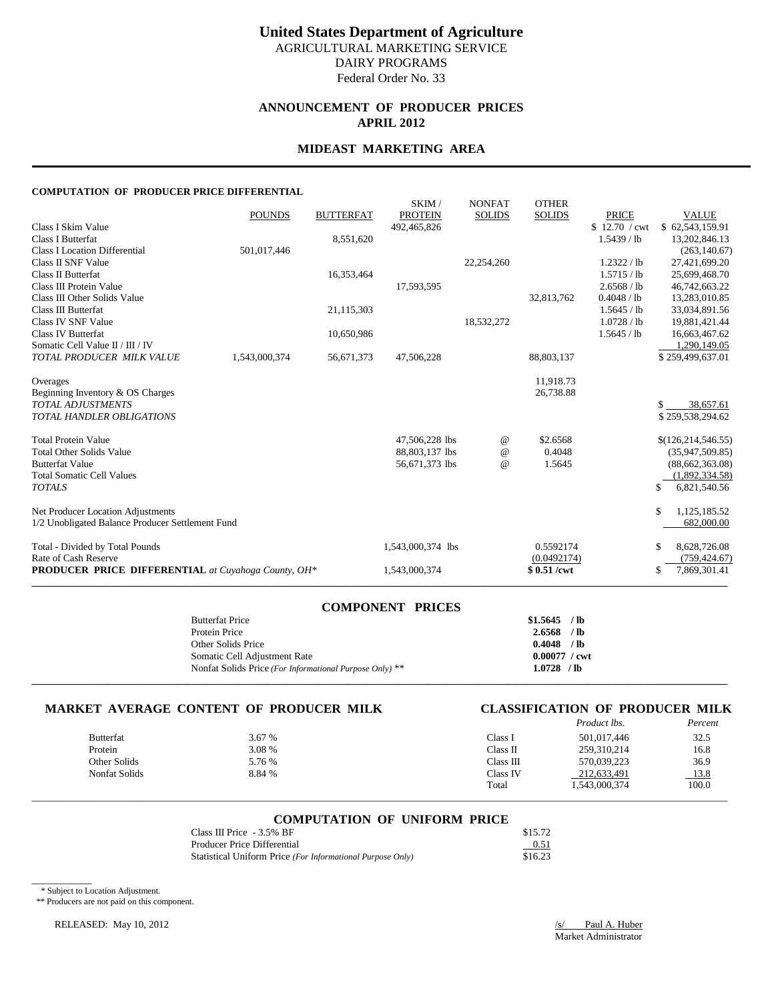# **ANNOUNCEMENT OF PRODUCER PRICES APRIL 2012**

# **MIDEAST MARKETING AREA**

### **COMPUTATION OF PRODUCER PRICE DIFFERENTIAL**

|                                                            | <b>POUNDS</b> | <b>BUTTERFAT</b> | SKIM/<br><b>PROTEIN</b> | <b>NONFAT</b><br><b>SOLIDS</b> | <b>OTHER</b><br><b>SOLIDS</b> | <b>PRICE</b>  | <b>VALUE</b>         |
|------------------------------------------------------------|---------------|------------------|-------------------------|--------------------------------|-------------------------------|---------------|----------------------|
| Class I Skim Value                                         |               |                  | 492.465.826             |                                |                               | \$12.70 / cwt | \$62,543,159.91      |
| <b>Class I Butterfat</b>                                   |               | 8,551,620        |                         |                                |                               | $1.5439$ / lb | 13,202,846.13        |
| <b>Class I Location Differential</b>                       | 501,017,446   |                  |                         |                                |                               |               | (263, 140.67)        |
| Class II SNF Value                                         |               |                  |                         | 22,254,260                     |                               | 1.2322 / lb   | 27,421,699.20        |
| Class II Butterfat                                         |               | 16,353,464       |                         |                                |                               | 1.5715 / lb   | 25,699,468.70        |
| Class III Protein Value                                    |               |                  | 17,593,595              |                                |                               | 2.6568 / lb   | 46,742,663.22        |
| Class III Other Solids Value                               |               |                  |                         |                                | 32,813,762                    | 0.4048 / lb   | 13,283,010.85        |
| Class III Butterfat                                        |               | 21,115,303       |                         |                                |                               | 1.5645 / lb   | 33,034,891.56        |
| Class IV SNF Value                                         |               |                  |                         | 18,532,272                     |                               | 1.0728 / lb   | 19,881,421.44        |
| Class IV Butterfat                                         |               | 10,650,986       |                         |                                |                               | 1.5645 / lb   | 16,663,467.62        |
| Somatic Cell Value II / III / IV                           |               |                  |                         |                                |                               |               | 1,290,149.05         |
| TOTAL PRODUCER MILK VALUE                                  | 1,543,000,374 | 56,671,373       | 47,506,228              |                                | 88,803,137                    |               | \$259,499,637.01     |
| Overages                                                   |               |                  |                         |                                | 11,918.73                     |               |                      |
| Beginning Inventory & OS Charges                           |               |                  |                         |                                | 26,738.88                     |               |                      |
| <b>TOTAL ADJUSTMENTS</b>                                   |               |                  |                         |                                |                               |               | 38,657.61            |
| <b>TOTAL HANDLER OBLIGATIONS</b>                           |               |                  |                         |                                |                               |               | \$259,538,294.62     |
| <b>Total Protein Value</b>                                 |               |                  | 47,506,228 lbs          | $^{\,a}$                       | \$2.6568                      |               | \$(126, 214, 546.55) |
| <b>Total Other Solids Value</b>                            |               |                  | 88,803,137 lbs          | $^{\copyright}$                | 0.4048                        |               | (35,947,509.85)      |
| <b>Butterfat Value</b>                                     |               |                  | 56,671,373 lbs          | $^{\omega}{}$                  | 1.5645                        |               | (88,662,363.08)      |
| <b>Total Somatic Cell Values</b>                           |               |                  |                         |                                |                               |               | (1,892,334.58)       |
| <b>TOTALS</b>                                              |               |                  |                         |                                |                               |               | 6,821,540.56<br>\$   |
| Net Producer Location Adjustments                          |               |                  |                         |                                |                               |               | \$<br>1,125,185.52   |
| 1/2 Unobligated Balance Producer Settlement Fund           |               |                  |                         |                                |                               |               | 682,000.00           |
| Total - Divided by Total Pounds                            |               |                  | 1,543,000,374 lbs       |                                | 0.5592174                     |               | \$<br>8,628,726.08   |
| Rate of Cash Reserve                                       |               |                  |                         |                                | (0.0492174)                   |               | (759, 424.67)        |
| <b>PRODUCER PRICE DIFFERENTIAL</b> at Cuyahoga County, OH* |               |                  | 1,543,000,374           |                                | \$0.51/cwt                    |               | 7,869,301.41<br>\$   |

| <b>COMPONENT PRICES</b>                                 |                        |  |
|---------------------------------------------------------|------------------------|--|
| <b>Butterfat Price</b>                                  | $$1.5645$ /lb          |  |
| Protein Price                                           | $2.6568$ /lb           |  |
| Other Solids Price                                      | $0.4048$ /lb           |  |
| Somatic Cell Adjustment Rate                            | $0.00077 / \text{cwt}$ |  |
| Nonfat Solids Price (For Informational Purpose Only) ** | $1.0728$ /lb           |  |
|                                                         |                        |  |

# **MARKET AVERAGE CONTENT OF PRODUCER MILK**

| <b>CLASSIFICATION OF PRODUCER MILK</b> |                     |         |
|----------------------------------------|---------------------|---------|
|                                        | <i>Product lbs.</i> | Percent |

|               |        |           |               | .     |
|---------------|--------|-----------|---------------|-------|
| Butterfat     | 3.67 % | Class 1   | 501.017.446   | 32.5  |
| Protein       | 3.08 % | Class II  | 259,310,214   | 16.8  |
| Other Solids  | 5.76 % | Class III | 570.039.223   | 36.9  |
| Nonfat Solids | 8.84 % | Class IV  | 212.633.491   | 13.8  |
|               |        | Total     | 1,543,000,374 | 100.0 |
|               |        |           |               |       |

# \_\_\_\_\_\_\_\_\_\_\_\_\_\_\_\_\_\_\_\_\_\_\_\_\_\_\_\_\_\_\_\_\_\_\_\_\_\_\_\_\_\_\_\_\_\_\_\_\_\_\_\_\_\_\_\_\_\_\_\_\_\_\_\_\_\_\_\_\_\_\_\_\_\_\_\_\_\_\_\_\_\_\_\_\_\_\_\_\_\_\_\_\_\_\_\_\_\_\_\_\_\_\_\_\_\_\_\_\_\_\_\_\_\_\_\_\_\_\_\_\_\_\_\_\_\_\_\_\_\_\_\_\_\_\_\_\_\_\_ **COMPUTATION OF UNIFORM PRICE**

| Class III Price $-3.5\%$ BF                                | \$15.72 |
|------------------------------------------------------------|---------|
| Producer Price Differential                                | 0.51    |
| Statistical Uniform Price (For Informational Purpose Only) | \$16.23 |

\* Subject to Location Adjustment.

 $\overline{\phantom{a}}$ 

\*\* Producers are not paid on this component.

RELEASED: May 10, 2012 */s/ Paul A. Huber*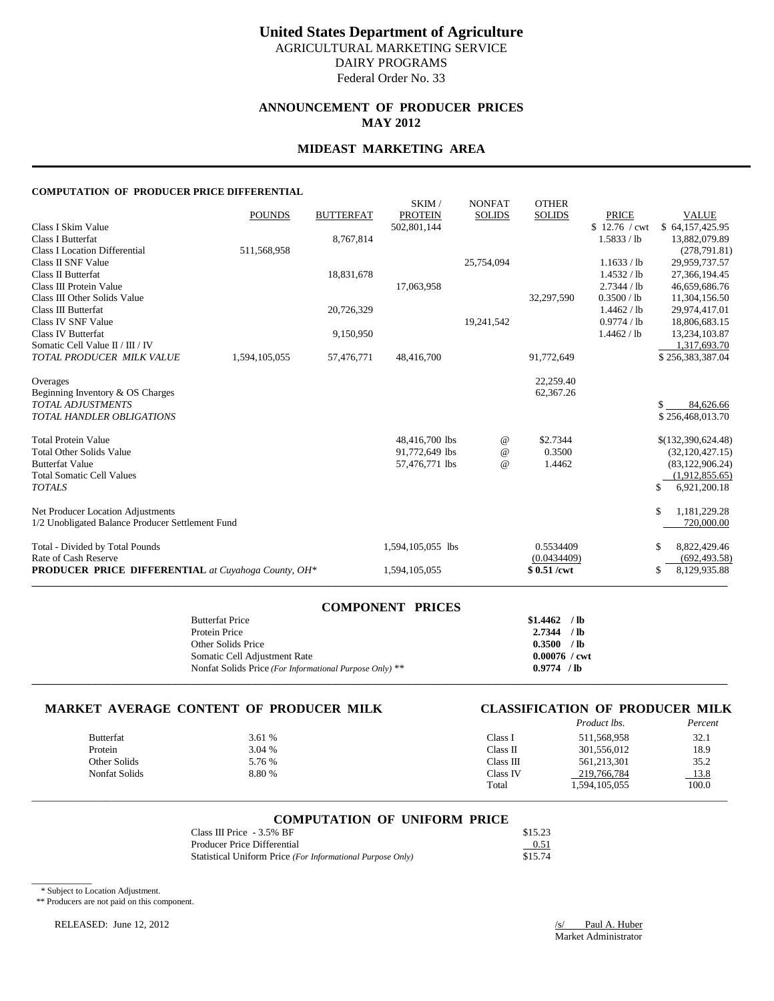# **ANNOUNCEMENT OF PRODUCER PRICES MAY 2012**

### **MIDEAST MARKETING AREA**

### **COMPUTATION OF PRODUCER PRICE DIFFERENTIAL**

|                                                            | <b>POUNDS</b> | <b>BUTTERFAT</b> | SKIM/<br><b>PROTEIN</b> | <b>NONFAT</b><br><b>SOLIDS</b> | <b>OTHER</b><br><b>SOLIDS</b> | <b>PRICE</b>  | <b>VALUE</b>                  |
|------------------------------------------------------------|---------------|------------------|-------------------------|--------------------------------|-------------------------------|---------------|-------------------------------|
| Class I Skim Value                                         |               |                  | 502,801,144             |                                |                               | \$12.76 / cwt | \$64,157,425.95               |
| Class I Butterfat                                          |               | 8,767,814        |                         |                                |                               | 1.5833 / lb   | 13,882,079.89                 |
| <b>Class I Location Differential</b>                       | 511,568,958   |                  |                         |                                |                               |               | (278, 791.81)                 |
| Class II SNF Value                                         |               |                  |                         | 25,754,094                     |                               | 1.1633 / lb   | 29,959,737.57                 |
| Class II Butterfat                                         |               | 18,831,678       |                         |                                |                               | 1.4532 / lb   | 27,366,194.45                 |
| Class III Protein Value                                    |               |                  | 17,063,958              |                                |                               | 2.7344 / lb   | 46,659,686.76                 |
| Class III Other Solids Value                               |               |                  |                         |                                | 32,297,590                    | 0.3500 / lb   | 11,304,156.50                 |
| Class III Butterfat                                        |               | 20,726,329       |                         |                                |                               | 1.4462 / lb   | 29,974,417.01                 |
| Class IV SNF Value                                         |               |                  |                         | 19,241,542                     |                               | 0.9774 / lb   | 18,806,683.15                 |
| Class IV Butterfat                                         |               | 9,150,950        |                         |                                |                               | 1.4462 / lb   | 13,234,103.87                 |
| Somatic Cell Value II / III / IV                           |               |                  |                         |                                |                               |               | 1,317,693.70                  |
| TOTAL PRODUCER MILK VALUE                                  | 1,594,105,055 | 57,476,771       | 48,416,700              |                                | 91,772,649                    |               | \$256,383,387.04              |
| Overages                                                   |               |                  |                         |                                | 22,259.40                     |               |                               |
| Beginning Inventory & OS Charges                           |               |                  |                         |                                | 62,367.26                     |               |                               |
| <b>TOTAL ADJUSTMENTS</b>                                   |               |                  |                         |                                |                               |               | \$.<br>84,626.66              |
| <b>TOTAL HANDLER OBLIGATIONS</b>                           |               |                  |                         |                                |                               |               | \$256,468,013.70              |
| <b>Total Protein Value</b>                                 |               |                  | 48,416,700 lbs          | $^{\,a}$                       | \$2.7344                      |               | \$(132,390,624.48)            |
| <b>Total Other Solids Value</b>                            |               |                  | 91,772,649 lbs          | $^{\,a}$                       | 0.3500                        |               | (32, 120, 427.15)             |
| <b>Butterfat Value</b>                                     |               |                  | 57,476,771 lbs          | $\omega$                       | 1.4462                        |               | (83, 122, 906.24)             |
| <b>Total Somatic Cell Values</b>                           |               |                  |                         |                                |                               |               | (1,912,855.65)                |
| <b>TOTALS</b>                                              |               |                  |                         |                                |                               |               | \$<br>6,921,200.18            |
| Net Producer Location Adjustments                          |               |                  |                         |                                |                               |               | \$<br>1,181,229.28            |
| 1/2 Unobligated Balance Producer Settlement Fund           |               |                  |                         |                                |                               |               | 720,000.00                    |
| Total - Divided by Total Pounds                            |               |                  | 1,594,105,055 lbs       |                                | 0.5534409                     |               | 8,822,429.46<br><sup>\$</sup> |
| Rate of Cash Reserve                                       |               |                  |                         |                                | (0.0434409)                   |               | (692, 493.58)                 |
| <b>PRODUCER PRICE DIFFERENTIAL</b> at Cuyahoga County, OH* |               |                  | 1,594,105,055           |                                | \$0.51/cwt                    |               | 8,129,935.88<br><sup>\$</sup> |
|                                                            |               |                  |                         |                                |                               |               |                               |

| <b>COMPONENT PRICES</b>                                 |                        |  |
|---------------------------------------------------------|------------------------|--|
| <b>Butterfat Price</b>                                  | $$1.4462$ /lb          |  |
| Protein Price                                           | $2.7344$ /lb           |  |
| Other Solids Price                                      | 0.3500 / lb            |  |
| Somatic Cell Adjustment Rate                            | $0.00076 / \text{cwt}$ |  |
| Nonfat Solids Price (For Informational Purpose Only) ** | 0.9774 / lb            |  |
|                                                         |                        |  |

# **MARKET AVERAGE CONTENT OF PRODUCER MILK CLASSIFICATION OF PRODUCER MILK**

|                      |        |           | <i>Product lbs.</i> | Percent |
|----------------------|--------|-----------|---------------------|---------|
| <b>Butterfat</b>     | 3.61 % | Class 1   | 511,568,958         | 32.1    |
| Protein              | 3.04 % | Class II  | 301,556,012         | 18.9    |
| Other Solids         | 5.76 % | Class III | 561,213,301         | 35.2    |
| <b>Nonfat Solids</b> | 8.80 % | Class IV  | 219,766,784         | 13.8    |
|                      |        | Total     | 1,594,105,055       | 100.0   |
|                      |        |           |                     |         |

### **COMPUTATION OF UNIFORM PRICE**

| Class III Price $-3.5\%$ BF                                | \$15.23 |
|------------------------------------------------------------|---------|
| Producer Price Differential                                | 0.51    |
| Statistical Uniform Price (For Informational Purpose Only) | \$15.74 |

\* Subject to Location Adjustment.

 $\overline{\phantom{a}}$ 

\*\* Producers are not paid on this component.

RELEASED: June 12, 2012 2012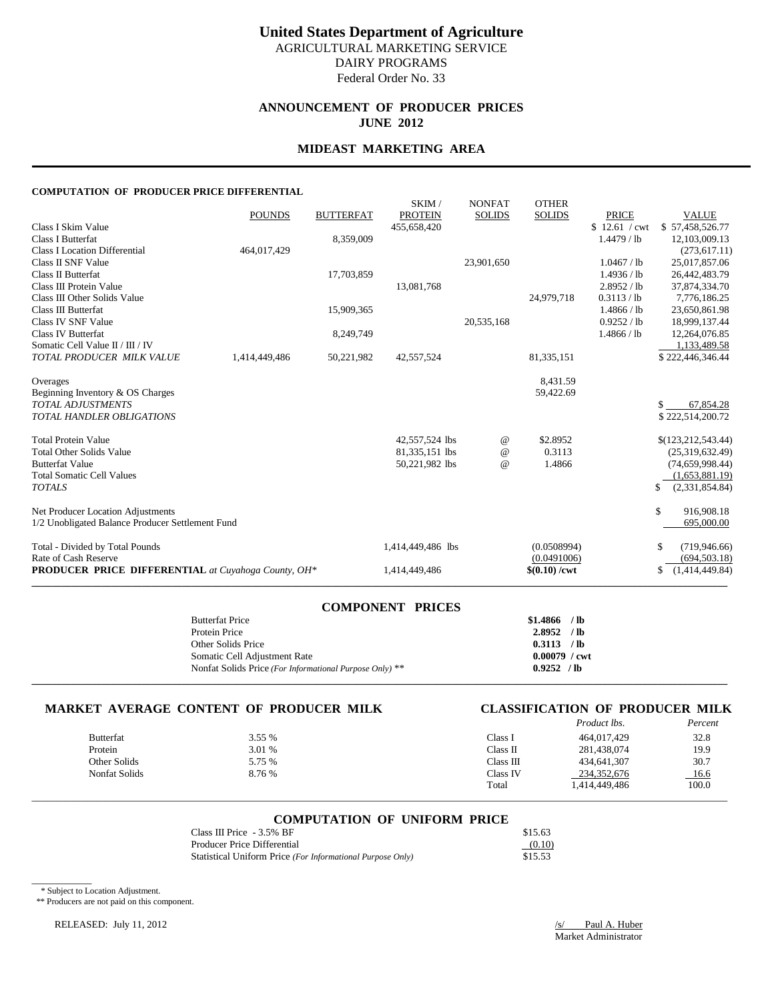# **ANNOUNCEMENT OF PRODUCER PRICES JUNE 2012**

# **MIDEAST MARKETING AREA**

### **COMPUTATION OF PRODUCER PRICE DIFFERENTIAL**

|                                                            | <b>POUNDS</b> | <b>BUTTERFAT</b> | SKIM/<br><b>PROTEIN</b> | <b>NONFAT</b><br><b>SOLIDS</b> | <b>OTHER</b><br><b>SOLIDS</b> | <b>PRICE</b>  | <b>VALUE</b>         |
|------------------------------------------------------------|---------------|------------------|-------------------------|--------------------------------|-------------------------------|---------------|----------------------|
| Class I Skim Value                                         |               |                  | 455,658,420             |                                |                               | \$12.61 / cwt | \$57,458,526.77      |
| <b>Class I Butterfat</b>                                   |               | 8,359,009        |                         |                                |                               | 1.4479 / lb   | 12,103,009.13        |
| <b>Class I Location Differential</b>                       | 464,017,429   |                  |                         |                                |                               |               | (273, 617.11)        |
| Class II SNF Value                                         |               |                  |                         | 23,901,650                     |                               | 1.0467 / lb   | 25,017,857.06        |
| Class II Butterfat                                         |               | 17,703,859       |                         |                                |                               | 1.4936 / lb   | 26,442,483.79        |
| Class III Protein Value                                    |               |                  | 13,081,768              |                                |                               | 2.8952 / lb   | 37,874,334.70        |
| Class III Other Solids Value                               |               |                  |                         |                                | 24.979.718                    | 0.3113 / lb   | 7,776,186.25         |
| Class III Butterfat                                        |               | 15,909,365       |                         |                                |                               | 1.4866 / lb   | 23,650,861.98        |
| Class IV SNF Value                                         |               |                  |                         | 20,535,168                     |                               | 0.9252 / lb   | 18,999,137.44        |
| Class IV Butterfat                                         |               | 8,249,749        |                         |                                |                               | 1.4866 / lb   | 12,264,076.85        |
| Somatic Cell Value II / III / IV                           |               |                  |                         |                                |                               |               | 1,133,489.58         |
| TOTAL PRODUCER MILK VALUE                                  | 1,414,449,486 | 50,221,982       | 42,557,524              |                                | 81, 335, 151                  |               | \$222,446,346.44     |
| Overages                                                   |               |                  |                         |                                | 8,431.59                      |               |                      |
| Beginning Inventory & OS Charges                           |               |                  |                         |                                | 59,422.69                     |               |                      |
| <b>TOTAL ADJUSTMENTS</b>                                   |               |                  |                         |                                |                               |               | 67,854.28<br>\$.     |
| <b>TOTAL HANDLER OBLIGATIONS</b>                           |               |                  |                         |                                |                               |               | \$222,514,200.72     |
| <b>Total Protein Value</b>                                 |               |                  | 42,557,524 lbs          | $^{\,a}$                       | \$2.8952                      |               | \$(123, 212, 543.44) |
| <b>Total Other Solids Value</b>                            |               |                  | 81,335,151 lbs          | $^{\copyright}$                | 0.3113                        |               | (25,319,632.49)      |
| <b>Butterfat Value</b>                                     |               |                  | 50,221,982 lbs          | $\omega$                       | 1.4866                        |               | (74, 659, 998.44)    |
| <b>Total Somatic Cell Values</b>                           |               |                  |                         |                                |                               |               | (1,653,881.19)       |
| <b>TOTALS</b>                                              |               |                  |                         |                                |                               |               | (2,331,854.84)<br>\$ |
| Net Producer Location Adjustments                          |               |                  |                         |                                |                               |               | \$<br>916,908.18     |
| 1/2 Unobligated Balance Producer Settlement Fund           |               |                  |                         |                                |                               |               | 695,000.00           |
| Total - Divided by Total Pounds                            |               |                  | 1,414,449,486 lbs       |                                | (0.0508994)                   |               | (719, 946.66)<br>\$  |
| Rate of Cash Reserve                                       |               |                  |                         |                                | (0.0491006)                   |               | (694, 503.18)        |
| <b>PRODUCER PRICE DIFFERENTIAL</b> at Cuyahoga County, OH* |               |                  | 1,414,449,486           |                                | $$(0.10) / \text{cwt}$        |               | (1,414,449.84)<br>\$ |
|                                                            |               |                  |                         |                                |                               |               |                      |

| <b>COMPONENT PRICES</b>                                 |                        |  |
|---------------------------------------------------------|------------------------|--|
| <b>Butterfat Price</b>                                  | $$1.4866$ /lb          |  |
| Protein Price                                           | $2.8952$ /lb           |  |
| Other Solids Price                                      | 0.3113 / lb            |  |
| Somatic Cell Adjustment Rate                            | $0.00079 / \text{cwt}$ |  |
| Nonfat Solids Price (For Informational Purpose Only) ** | 0.9252 / lb            |  |
|                                                         |                        |  |

# **MARKET AVERAGE CONTENT OF PRODUCER MILK CLASSIFICATION OF PRODUCER MILK**

| CLASSIFICATION OF PRODUCER MILK |                    |  |         |
|---------------------------------|--------------------|--|---------|
|                                 | <b>Product lbs</b> |  | Percent |

|                  |        |           | 1 <i>rouwer ws.</i> | 1 c/cc/4 |
|------------------|--------|-----------|---------------------|----------|
| <b>Butterfat</b> | 3.55 % | Class I   | 464,017,429         | 32.8     |
| Protein          | 3.01 % | Class II  | 281.438.074         | 19.9     |
| Other Solids     | 5.75 % | Class III | 434,641,307         | 30.7     |
| Nonfat Solids    | 8.76 % | Class IV  | 234.352.676         | 16.6     |
|                  |        | Total     | 1,414,449,486       | 100.0    |
|                  |        |           |                     |          |

# \_\_\_\_\_\_\_\_\_\_\_\_\_\_\_\_\_\_\_\_\_\_\_\_\_\_\_\_\_\_\_\_\_\_\_\_\_\_\_\_\_\_\_\_\_\_\_\_\_\_\_\_\_\_\_\_\_\_\_\_\_\_\_\_\_\_\_\_\_\_\_\_\_\_\_\_\_\_\_\_\_\_\_\_\_\_\_\_\_\_\_\_\_\_\_\_\_\_\_\_\_\_\_\_\_\_\_\_\_\_\_\_\_\_\_\_\_\_\_\_\_\_\_\_\_\_\_\_\_\_\_\_\_\_\_\_\_\_\_ **COMPUTATION OF UNIFORM PRICE**

| Class III Price $-3.5\%$ BF                                | \$15.63 |
|------------------------------------------------------------|---------|
| Producer Price Differential                                | (0.10)  |
| Statistical Uniform Price (For Informational Purpose Only) | \$15.53 |

\* Subject to Location Adjustment.

 $\overline{\phantom{a}}$ 

\*\* Producers are not paid on this component.

RELEASED: July 11, 2012 /s/ Paul A. Huber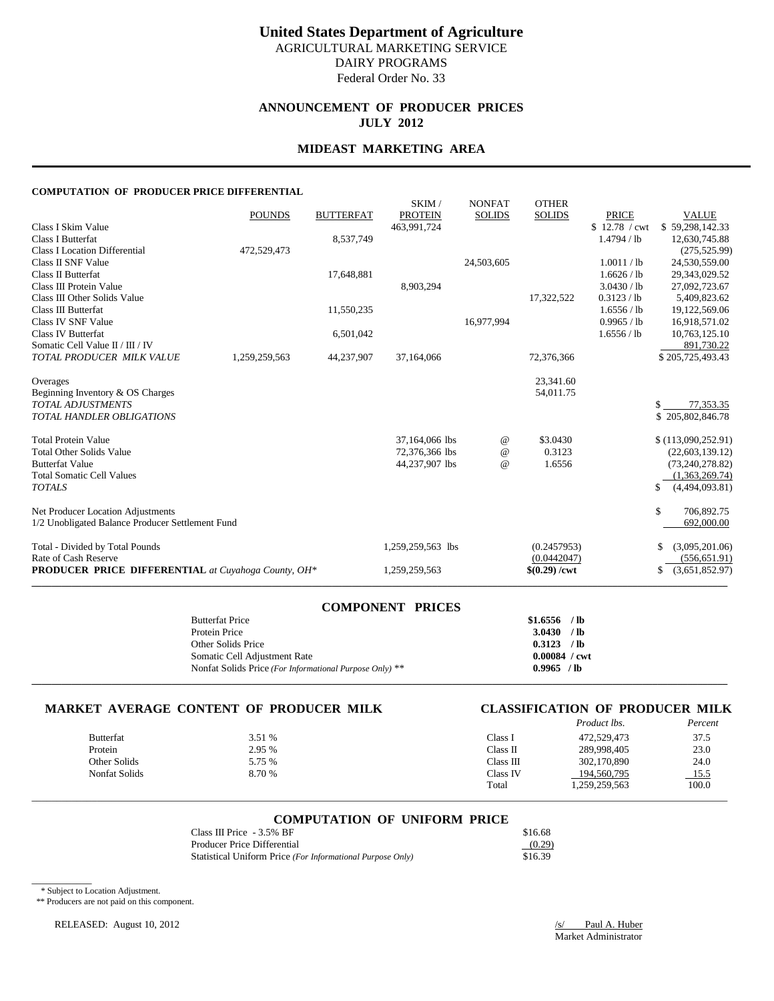# **ANNOUNCEMENT OF PRODUCER PRICES JULY 2012**

### **MIDEAST MARKETING AREA**

### **COMPUTATION OF PRODUCER PRICE DIFFERENTIAL**

| <b>POUNDS</b><br><b>BUTTERFAT</b><br><b>PROTEIN</b><br><b>SOLIDS</b><br><b>PRICE</b><br><b>SOLIDS</b><br>\$12.78 / cwt<br>Class I Skim Value<br>463.991.724<br><b>Class I Butterfat</b><br>8,537,749<br>1.4794 / lb<br><b>Class I Location Differential</b><br>472,529,473<br>Class II SNF Value<br>1.0011 / lb<br>24,503,605<br>Class II Butterfat<br>17,648,881<br>1.6626 / lb<br>3.0430 / lb<br>Class III Protein Value<br>8,903,294<br>0.3123 / lb<br>Class III Other Solids Value<br>17,322,522<br>Class III Butterfat<br>11,550,235<br>1.6556 / lb<br>Class IV SNF Value<br>16,977,994<br>0.9965 / lb<br>Class IV Butterfat<br>6,501,042<br>1.6556 / lb<br>Somatic Cell Value II / III / IV<br>TOTAL PRODUCER MILK VALUE<br>44,237,907<br>1,259,259,563<br>37,164,066<br>72,376,366<br>23,341.60<br>Overages<br>Beginning Inventory & OS Charges<br>54,011.75<br><b>TOTAL ADJUSTMENTS</b><br>\$<br><b>TOTAL HANDLER OBLIGATIONS</b><br><b>Total Protein Value</b><br>37,164,066 lbs<br>\$3.0430<br>$^{\,a}$<br><b>Total Other Solids Value</b><br>0.3123<br>72,376,366 lbs<br>$^{\copyright}$<br>1.6556<br><b>Butterfat Value</b><br>44,237,907 lbs<br>$^{\omega}{}$<br><b>Total Somatic Cell Values</b><br><b>TOTALS</b><br>\$<br>Net Producer Location Adjustments<br>\$ | <b>VALUE</b>       |
|----------------------------------------------------------------------------------------------------------------------------------------------------------------------------------------------------------------------------------------------------------------------------------------------------------------------------------------------------------------------------------------------------------------------------------------------------------------------------------------------------------------------------------------------------------------------------------------------------------------------------------------------------------------------------------------------------------------------------------------------------------------------------------------------------------------------------------------------------------------------------------------------------------------------------------------------------------------------------------------------------------------------------------------------------------------------------------------------------------------------------------------------------------------------------------------------------------------------------------------------------------------------------------|--------------------|
|                                                                                                                                                                                                                                                                                                                                                                                                                                                                                                                                                                                                                                                                                                                                                                                                                                                                                                                                                                                                                                                                                                                                                                                                                                                                                  | \$59,298,142.33    |
|                                                                                                                                                                                                                                                                                                                                                                                                                                                                                                                                                                                                                                                                                                                                                                                                                                                                                                                                                                                                                                                                                                                                                                                                                                                                                  | 12,630,745.88      |
|                                                                                                                                                                                                                                                                                                                                                                                                                                                                                                                                                                                                                                                                                                                                                                                                                                                                                                                                                                                                                                                                                                                                                                                                                                                                                  | (275, 525.99)      |
|                                                                                                                                                                                                                                                                                                                                                                                                                                                                                                                                                                                                                                                                                                                                                                                                                                                                                                                                                                                                                                                                                                                                                                                                                                                                                  | 24,530,559.00      |
|                                                                                                                                                                                                                                                                                                                                                                                                                                                                                                                                                                                                                                                                                                                                                                                                                                                                                                                                                                                                                                                                                                                                                                                                                                                                                  | 29,343,029.52      |
|                                                                                                                                                                                                                                                                                                                                                                                                                                                                                                                                                                                                                                                                                                                                                                                                                                                                                                                                                                                                                                                                                                                                                                                                                                                                                  | 27,092,723.67      |
|                                                                                                                                                                                                                                                                                                                                                                                                                                                                                                                                                                                                                                                                                                                                                                                                                                                                                                                                                                                                                                                                                                                                                                                                                                                                                  | 5,409,823.62       |
|                                                                                                                                                                                                                                                                                                                                                                                                                                                                                                                                                                                                                                                                                                                                                                                                                                                                                                                                                                                                                                                                                                                                                                                                                                                                                  | 19,122,569.06      |
|                                                                                                                                                                                                                                                                                                                                                                                                                                                                                                                                                                                                                                                                                                                                                                                                                                                                                                                                                                                                                                                                                                                                                                                                                                                                                  | 16,918,571.02      |
|                                                                                                                                                                                                                                                                                                                                                                                                                                                                                                                                                                                                                                                                                                                                                                                                                                                                                                                                                                                                                                                                                                                                                                                                                                                                                  | 10,763,125.10      |
|                                                                                                                                                                                                                                                                                                                                                                                                                                                                                                                                                                                                                                                                                                                                                                                                                                                                                                                                                                                                                                                                                                                                                                                                                                                                                  | 891,730.22         |
|                                                                                                                                                                                                                                                                                                                                                                                                                                                                                                                                                                                                                                                                                                                                                                                                                                                                                                                                                                                                                                                                                                                                                                                                                                                                                  | \$205,725,493.43   |
|                                                                                                                                                                                                                                                                                                                                                                                                                                                                                                                                                                                                                                                                                                                                                                                                                                                                                                                                                                                                                                                                                                                                                                                                                                                                                  |                    |
|                                                                                                                                                                                                                                                                                                                                                                                                                                                                                                                                                                                                                                                                                                                                                                                                                                                                                                                                                                                                                                                                                                                                                                                                                                                                                  |                    |
|                                                                                                                                                                                                                                                                                                                                                                                                                                                                                                                                                                                                                                                                                                                                                                                                                                                                                                                                                                                                                                                                                                                                                                                                                                                                                  | 77,353.35          |
|                                                                                                                                                                                                                                                                                                                                                                                                                                                                                                                                                                                                                                                                                                                                                                                                                                                                                                                                                                                                                                                                                                                                                                                                                                                                                  | \$205,802,846.78   |
|                                                                                                                                                                                                                                                                                                                                                                                                                                                                                                                                                                                                                                                                                                                                                                                                                                                                                                                                                                                                                                                                                                                                                                                                                                                                                  | \$(113,090,252.91) |
|                                                                                                                                                                                                                                                                                                                                                                                                                                                                                                                                                                                                                                                                                                                                                                                                                                                                                                                                                                                                                                                                                                                                                                                                                                                                                  | (22, 603, 139.12)  |
|                                                                                                                                                                                                                                                                                                                                                                                                                                                                                                                                                                                                                                                                                                                                                                                                                                                                                                                                                                                                                                                                                                                                                                                                                                                                                  | (73, 240, 278.82)  |
|                                                                                                                                                                                                                                                                                                                                                                                                                                                                                                                                                                                                                                                                                                                                                                                                                                                                                                                                                                                                                                                                                                                                                                                                                                                                                  | (1,363,269.74)     |
|                                                                                                                                                                                                                                                                                                                                                                                                                                                                                                                                                                                                                                                                                                                                                                                                                                                                                                                                                                                                                                                                                                                                                                                                                                                                                  | (4,494,093.81)     |
|                                                                                                                                                                                                                                                                                                                                                                                                                                                                                                                                                                                                                                                                                                                                                                                                                                                                                                                                                                                                                                                                                                                                                                                                                                                                                  | 706,892.75         |
| 1/2 Unobligated Balance Producer Settlement Fund                                                                                                                                                                                                                                                                                                                                                                                                                                                                                                                                                                                                                                                                                                                                                                                                                                                                                                                                                                                                                                                                                                                                                                                                                                 | 692,000.00         |
| Total - Divided by Total Pounds<br>(0.2457953)<br>1,259,259,563 lbs                                                                                                                                                                                                                                                                                                                                                                                                                                                                                                                                                                                                                                                                                                                                                                                                                                                                                                                                                                                                                                                                                                                                                                                                              | (3,095,201.06)     |
| Rate of Cash Reserve<br>(0.0442047)                                                                                                                                                                                                                                                                                                                                                                                                                                                                                                                                                                                                                                                                                                                                                                                                                                                                                                                                                                                                                                                                                                                                                                                                                                              | (556, 651.91)      |
| <b>PRODUCER PRICE DIFFERENTIAL</b> at Cuyahoga County, OH*<br>$$(0.29) / \text{cwt}$<br>1,259,259,563                                                                                                                                                                                                                                                                                                                                                                                                                                                                                                                                                                                                                                                                                                                                                                                                                                                                                                                                                                                                                                                                                                                                                                            | (3,651,852.97)     |

| <b>COMPONENT PRICES</b>                                 |                        |
|---------------------------------------------------------|------------------------|
| <b>Butterfat Price</b>                                  | $$1.6556$ /lb          |
| Protein Price                                           | 3.0430 / lb            |
| Other Solids Price                                      | $0.3123$ /lb           |
| Somatic Cell Adjustment Rate                            | $0.00084 / \text{cwt}$ |
| Nonfat Solids Price (For Informational Purpose Only) ** | 0.9965 / lb            |
|                                                         |                        |

# **MARKET AVERAGE CONTENT OF PRODUCER MILK CLASSIFICATION OF PRODUCER MILK**

|                      |        |           | <i>Product lbs.</i> | Percent |
|----------------------|--------|-----------|---------------------|---------|
| <b>Butterfat</b>     | 3.51 % | Class I   | 472,529,473         | 37.5    |
| Protein              | 2.95 % | Class II  | 289,998,405         | 23.0    |
| Other Solids         | 5.75 % | Class III | 302,170,890         | 24.0    |
| <b>Nonfat Solids</b> | 8.70 % | Class IV  | 194,560,795         | 15.5    |
|                      |        | Total     | 1,259,259,563       | 100.0   |
|                      |        |           |                     |         |

### **COMPUTATION OF UNIFORM PRICE**

| Class III Price $-3.5\%$ BF                                | \$16.68 |
|------------------------------------------------------------|---------|
| Producer Price Differential                                | (0.29)  |
| Statistical Uniform Price (For Informational Purpose Only) | \$16.39 |

\* Subject to Location Adjustment.

 $\overline{\phantom{a}}$ 

\*\* Producers are not paid on this component.

RELEASED: August 10, 2012 */s/ Paul A. Huber*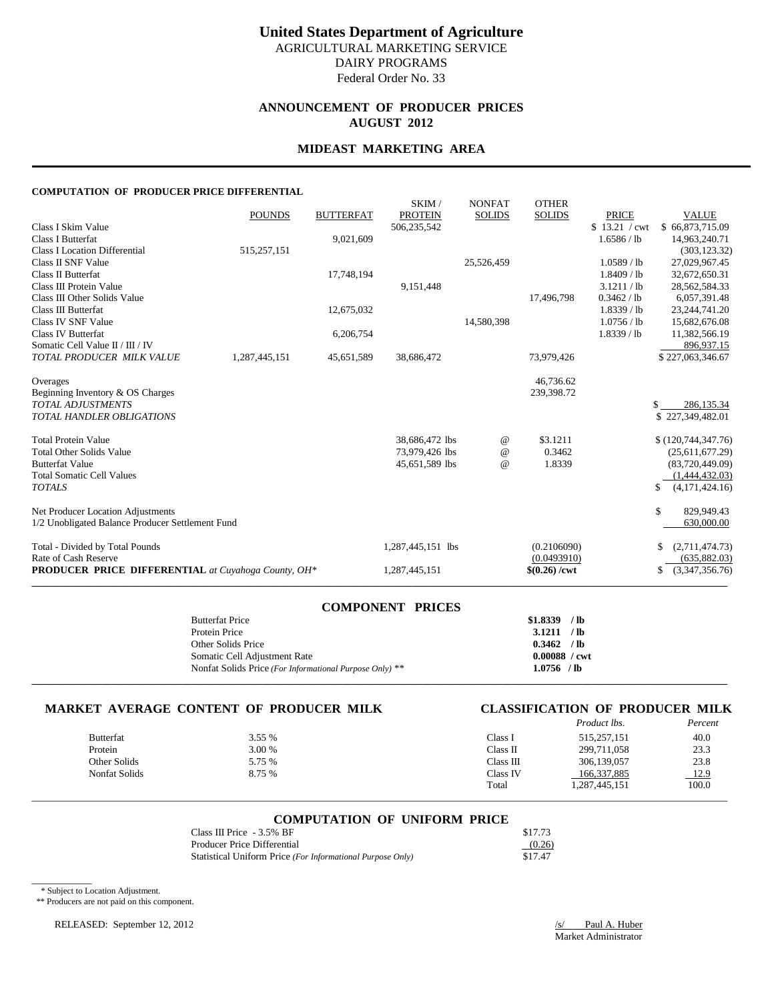# **ANNOUNCEMENT OF PRODUCER PRICES AUGUST 2012**

### **MIDEAST MARKETING AREA**

### **COMPUTATION OF PRODUCER PRICE DIFFERENTIAL**

|                                                            | <b>POUNDS</b> | <b>BUTTERFAT</b> | SKIM/<br><b>PROTEIN</b> | <b>NONFAT</b><br><b>SOLIDS</b>  | <b>OTHER</b><br><b>SOLIDS</b> | <b>PRICE</b>  | <b>VALUE</b>         |
|------------------------------------------------------------|---------------|------------------|-------------------------|---------------------------------|-------------------------------|---------------|----------------------|
| Class I Skim Value                                         |               |                  | 506,235,542             |                                 |                               | \$13.21 / cwt | \$66,873,715.09      |
| <b>Class I Butterfat</b>                                   |               | 9,021,609        |                         |                                 |                               | 1.6586 / lb   | 14,963,240.71        |
| <b>Class I Location Differential</b>                       | 515,257,151   |                  |                         |                                 |                               |               | (303, 123.32)        |
| Class II SNF Value                                         |               |                  |                         | 25,526,459                      |                               | 1.0589 / lb   | 27,029,967.45        |
| Class II Butterfat                                         |               | 17,748,194       |                         |                                 |                               | 1.8409 / lb   | 32,672,650.31        |
| Class III Protein Value                                    |               |                  | 9.151.448               |                                 |                               | 3.1211 / lb   | 28,562,584.33        |
| Class III Other Solids Value                               |               |                  |                         |                                 | 17,496,798                    | 0.3462 / lb   | 6,057,391.48         |
| Class III Butterfat                                        |               | 12,675,032       |                         |                                 |                               | 1.8339 / lb   | 23, 244, 741. 20     |
| Class IV SNF Value                                         |               |                  |                         | 14,580,398                      |                               | 1.0756 / lb   | 15,682,676.08        |
| Class IV Butterfat                                         |               | 6,206,754        |                         |                                 |                               | 1.8339 / lb   | 11,382,566.19        |
| Somatic Cell Value II / III / IV                           |               |                  |                         |                                 |                               |               | 896,937.15           |
| TOTAL PRODUCER MILK VALUE                                  | 1,287,445,151 | 45,651,589       | 38,686,472              |                                 | 73,979,426                    |               | \$227,063,346.67     |
| Overages                                                   |               |                  |                         |                                 | 46,736.62                     |               |                      |
| Beginning Inventory & OS Charges                           |               |                  |                         |                                 | 239,398.72                    |               |                      |
| <b>TOTAL ADJUSTMENTS</b>                                   |               |                  |                         |                                 |                               |               | 286,135.34<br>\$     |
| <b>TOTAL HANDLER OBLIGATIONS</b>                           |               |                  |                         |                                 |                               |               | \$227,349,482.01     |
| <b>Total Protein Value</b>                                 |               |                  | 38,686,472 lbs          | $^{\scriptsize\textregistered}$ | \$3.1211                      |               | \$(120,744,347.76)   |
| <b>Total Other Solids Value</b>                            |               |                  | 73,979,426 lbs          | $^{\omega}{}$                   | 0.3462                        |               | (25,611,677.29)      |
| <b>Butterfat Value</b>                                     |               |                  | 45,651,589 lbs          | $\omega$                        | 1.8339                        |               | (83,720,449.09)      |
| <b>Total Somatic Cell Values</b>                           |               |                  |                         |                                 |                               |               | (1,444,432.03)       |
| <b>TOTALS</b>                                              |               |                  |                         |                                 |                               |               | (4,171,424.16)<br>\$ |
| Net Producer Location Adjustments                          |               |                  |                         |                                 |                               |               | \$<br>829,949.43     |
| 1/2 Unobligated Balance Producer Settlement Fund           |               |                  |                         |                                 |                               |               | 630,000.00           |
| Total - Divided by Total Pounds                            |               |                  | 1,287,445,151 lbs       |                                 | (0.2106090)                   |               | (2,711,474.73)       |
| Rate of Cash Reserve                                       |               |                  |                         |                                 | (0.0493910)                   |               | (635,882.03)         |
| <b>PRODUCER PRICE DIFFERENTIAL</b> at Cuyahoga County, OH* |               |                  | 1,287,445,151           |                                 | $$(0.26) / \text{cwt}$        |               | (3,347,356.76)<br>\$ |

| <b>COMPONENT PRICES</b>                                                 |                        |
|-------------------------------------------------------------------------|------------------------|
| $$1.8339$ /lb<br><b>Butterfat Price</b>                                 |                        |
| 3.1211 / lb<br>Protein Price                                            |                        |
| $0.3462$ /lb<br>Other Solids Price                                      |                        |
| Somatic Cell Adjustment Rate                                            | $0.00088 / \text{cwt}$ |
| $1.0756$ /lb<br>Nonfat Solids Price (For Informational Purpose Only) ** |                        |
|                                                                         |                        |

### **MARKET AVERAGE CONTENT OF PRODUCER MILK CLASSIFICATION OF PRODUCER MILK**

# *Product lbs. Percent*

|               |        |           |              | .     |
|---------------|--------|-----------|--------------|-------|
| Butterfat     | 3.55 % | Class I   | 515.257.151  | 40.0  |
| Protein       | 3.00 % | Class II  | 299,711,058  | 23.3  |
| Other Solids  | 5.75 % | Class III | 306.139.057  | 23.8  |
| Nonfat Solids | 8.75 % | Class IV  | 166.337.885  | 12.9  |
|               |        | Total     | .287,445,151 | 100.0 |
|               |        |           |              |       |

# \_\_\_\_\_\_\_\_\_\_\_\_\_\_\_\_\_\_\_\_\_\_\_\_\_\_\_\_\_\_\_\_\_\_\_\_\_\_\_\_\_\_\_\_\_\_\_\_\_\_\_\_\_\_\_\_\_\_\_\_\_\_\_\_\_\_\_\_\_\_\_\_\_\_\_\_\_\_\_\_\_\_\_\_\_\_\_\_\_\_\_\_\_\_\_\_\_\_\_\_\_\_\_\_\_\_\_\_\_\_\_\_\_\_\_\_\_\_\_\_\_\_\_\_\_\_\_\_\_\_\_\_\_\_\_\_\_\_\_ **COMPUTATION OF UNIFORM PRICE**

| Class III Price - 3.5% BF                                  | \$17.73 |
|------------------------------------------------------------|---------|
| Producer Price Differential                                | (0.26)  |
| Statistical Uniform Price (For Informational Purpose Only) | \$17.47 |

\* Subject to Location Adjustment.

 $\overline{\phantom{a}}$ 

\*\* Producers are not paid on this component.

RELEASED: September 12, 2012 /s/ Paul A. Huber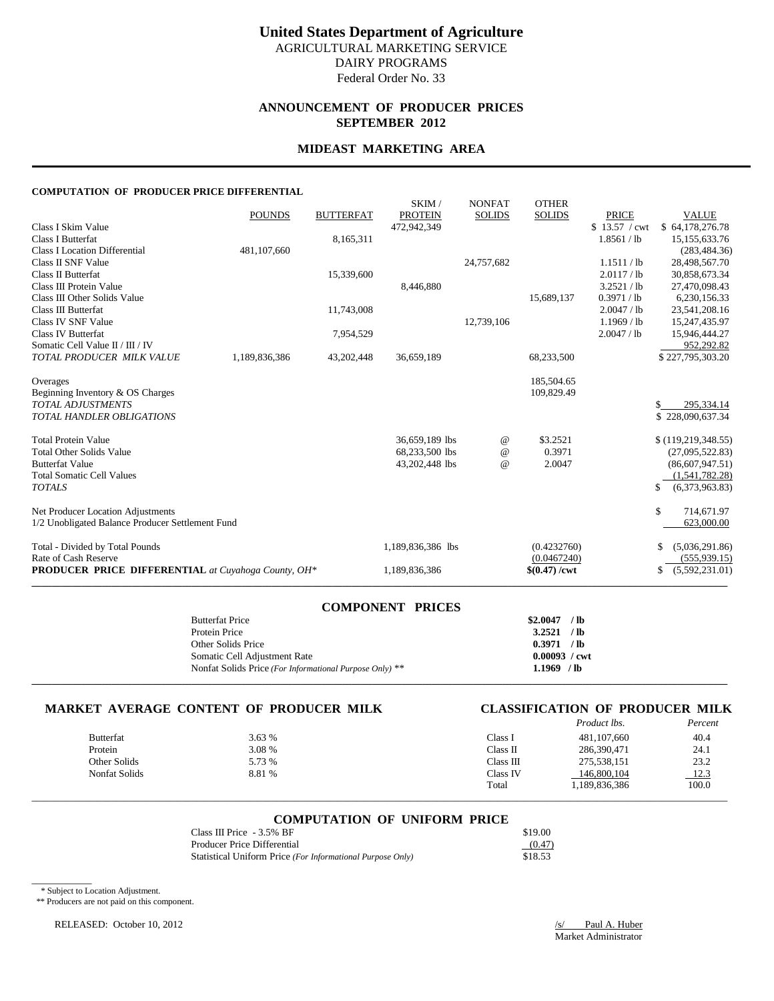## **ANNOUNCEMENT OF PRODUCER PRICES SEPTEMBER 2012**

# **MIDEAST MARKETING AREA**

### **COMPUTATION OF PRODUCER PRICE DIFFERENTIAL**

|                                                            | <b>POUNDS</b> | <b>BUTTERFAT</b> | SKIM/<br><b>PROTEIN</b> | <b>NONFAT</b><br><b>SOLIDS</b>  | <b>OTHER</b><br><b>SOLIDS</b> | <b>PRICE</b>  | <b>VALUE</b>         |
|------------------------------------------------------------|---------------|------------------|-------------------------|---------------------------------|-------------------------------|---------------|----------------------|
| Class I Skim Value                                         |               |                  | 472,942,349             |                                 |                               | \$13.57 / cwt | \$64,178,276.78      |
| <b>Class I Butterfat</b>                                   |               | 8,165,311        |                         |                                 |                               | 1.8561 / lb   | 15, 155, 633. 76     |
| <b>Class I Location Differential</b>                       | 481,107,660   |                  |                         |                                 |                               |               | (283, 484, 36)       |
| Class II SNF Value                                         |               |                  |                         | 24,757,682                      |                               | 1.1511 / lb   | 28,498,567.70        |
| Class II Butterfat                                         |               | 15,339,600       |                         |                                 |                               | 2.0117 / lb   | 30,858,673.34        |
| Class III Protein Value                                    |               |                  | 8,446,880               |                                 |                               | 3.2521 / lb   | 27,470,098.43        |
| Class III Other Solids Value                               |               |                  |                         |                                 | 15,689,137                    | 0.3971 / lb   | 6,230,156.33         |
| Class III Butterfat                                        |               | 11,743,008       |                         |                                 |                               | 2.0047 / lb   | 23,541,208.16        |
| Class IV SNF Value                                         |               |                  |                         | 12,739,106                      |                               | $1.1969$ / lb | 15,247,435.97        |
| Class IV Butterfat                                         |               | 7,954,529        |                         |                                 |                               | 2.0047 / lb   | 15,946,444.27        |
| Somatic Cell Value II / III / IV                           |               |                  |                         |                                 |                               |               | 952,292.82           |
| TOTAL PRODUCER MILK VALUE                                  | 1,189,836,386 | 43,202,448       | 36,659,189              |                                 | 68,233,500                    |               | \$227,795,303.20     |
| Overages                                                   |               |                  |                         |                                 | 185,504.65                    |               |                      |
| Beginning Inventory & OS Charges                           |               |                  |                         |                                 | 109,829.49                    |               |                      |
| <b>TOTAL ADJUSTMENTS</b>                                   |               |                  |                         |                                 |                               |               | 295.334.14<br>\$.    |
| <b>TOTAL HANDLER OBLIGATIONS</b>                           |               |                  |                         |                                 |                               |               | \$228,090,637.34     |
| <b>Total Protein Value</b>                                 |               |                  | 36,659,189 lbs          | $^{\scriptsize\textregistered}$ | \$3.2521                      |               | \$(119, 219, 348.55) |
| <b>Total Other Solids Value</b>                            |               |                  | 68,233,500 lbs          | $^{\omega}{}$                   | 0.3971                        |               | (27,095,522.83)      |
| <b>Butterfat Value</b>                                     |               |                  | 43,202,448 lbs          | $\omega$                        | 2.0047                        |               | (86,607,947.51)      |
| <b>Total Somatic Cell Values</b>                           |               |                  |                         |                                 |                               |               | (1,541,782.28)       |
| <b>TOTALS</b>                                              |               |                  |                         |                                 |                               |               | (6,373,963.83)<br>\$ |
| Net Producer Location Adjustments                          |               |                  |                         |                                 |                               |               | \$<br>714,671.97     |
| 1/2 Unobligated Balance Producer Settlement Fund           |               |                  |                         |                                 |                               |               | 623,000.00           |
| Total - Divided by Total Pounds                            |               |                  | 1,189,836,386 lbs       |                                 | (0.4232760)                   |               | (5,036,291.86)       |
| Rate of Cash Reserve                                       |               |                  |                         |                                 | (0.0467240)                   |               | (555, 939.15)        |
| <b>PRODUCER PRICE DIFFERENTIAL</b> at Cuyahoga County, OH* |               |                  | 1,189,836,386           |                                 | $$(0.47) / \text{cwt}$        |               | (5,592,231.01)<br>\$ |

| <b>COMPONENT PRICES</b>                                 |                        |
|---------------------------------------------------------|------------------------|
| <b>Butterfat Price</b>                                  | \$2.0047<br>/ lb       |
| Protein Price                                           | $3.2521$ /lb           |
| Other Solids Price                                      | 0.3971 / lb            |
| Somatic Cell Adjustment Rate                            | $0.00093 / \text{cwt}$ |
| Nonfat Solids Price (For Informational Purpose Only) ** | $1.1969$ /lb           |
|                                                         |                        |

# **MARKET AVERAGE CONTENT OF PRODUCER MILK CLASSIFICATION OF PRODUCER MILK**

| CLASSIFICATION OF PRODUCER MILK |                    |  |         |
|---------------------------------|--------------------|--|---------|
|                                 | <i>Product lbs</i> |  | Percent |

|                      |        |           | <i>i rouger ws.</i> | 1 стести |
|----------------------|--------|-----------|---------------------|----------|
| <b>Butterfat</b>     | 3.63%  | Class 1   | 481.107.660         | 40.4     |
| Protein              | 3.08 % | Class II  | 286,390,471         | 24.1     |
| Other Solids         | 5.73 % | Class III | 275,538,151         | 23.2     |
| <b>Nonfat Solids</b> | 8.81 % | Class IV  | 146,800,104         | 12.3     |
|                      |        | Total     | 1,189,836,386       | 100.0    |
|                      |        |           |                     |          |

### **COMPUTATION OF UNIFORM PRICE**

\_\_\_\_\_\_\_\_\_\_\_\_\_\_\_\_\_\_\_\_\_\_\_\_\_\_\_\_\_\_\_\_\_\_\_\_\_\_\_\_\_\_\_\_\_\_\_\_\_\_\_\_\_\_\_\_\_\_\_\_\_\_\_\_\_\_\_\_\_\_\_\_\_\_\_\_\_\_\_\_\_\_\_\_\_\_\_\_\_\_\_\_\_\_\_\_\_\_\_\_\_\_\_\_\_\_\_\_\_\_\_\_\_\_\_\_\_\_\_\_\_\_\_\_\_\_\_\_\_\_\_\_\_\_\_\_\_\_\_

| Class III Price $-3.5\%$ BF                                | \$19.00 |
|------------------------------------------------------------|---------|
| Producer Price Differential                                | (0.47)  |
| Statistical Uniform Price (For Informational Purpose Only) | \$18.53 |

\* Subject to Location Adjustment.

 $\overline{\phantom{a}}$ 

\*\* Producers are not paid on this component.

RELEASED: October 10, 2012 /s/ Paul A. Huber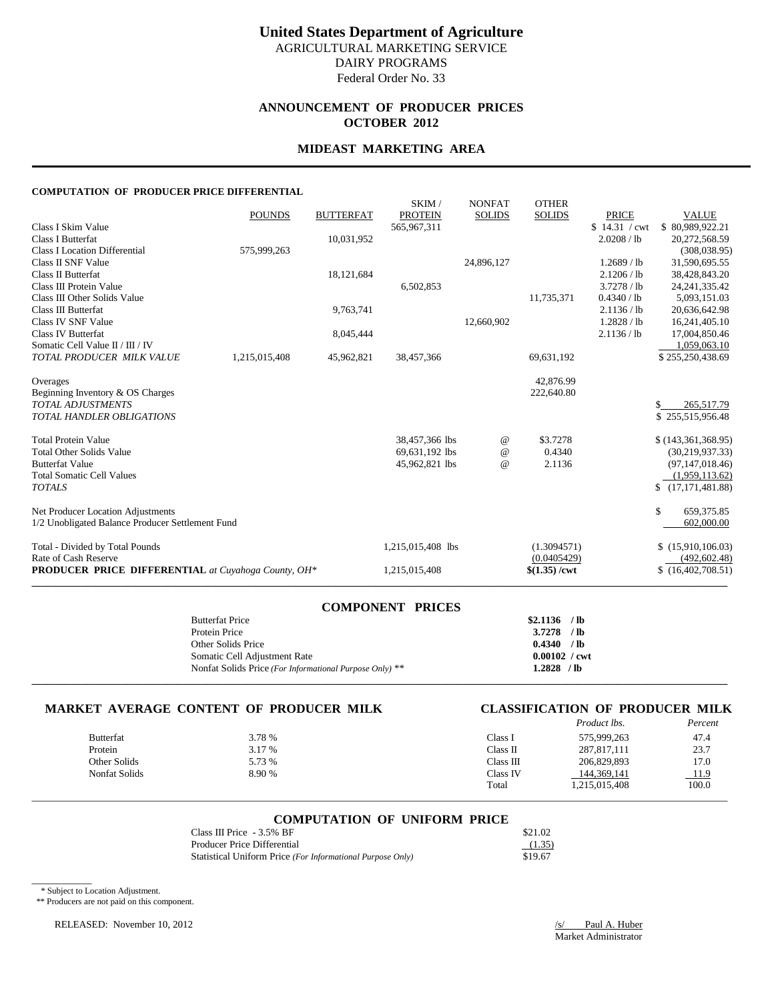# **ANNOUNCEMENT OF PRODUCER PRICES OCTOBER 2012**

### **MIDEAST MARKETING AREA**

### **COMPUTATION OF PRODUCER PRICE DIFFERENTIAL**

|                                                     | <b>POUNDS</b> | <b>BUTTERFAT</b> | SKIM/<br><b>PROTEIN</b> | <b>NONFAT</b><br><b>SOLIDS</b> | <b>OTHER</b><br><b>SOLIDS</b> | <b>PRICE</b>  | <b>VALUE</b>            |
|-----------------------------------------------------|---------------|------------------|-------------------------|--------------------------------|-------------------------------|---------------|-------------------------|
| Class I Skim Value                                  |               |                  | 565,967,311             |                                |                               | \$14.31 / cwt | \$80,989,922.21         |
| <b>Class I Butterfat</b>                            |               | 10,031,952       |                         |                                |                               | 2.0208 / lb   | 20,272,568.59           |
| Class I Location Differential                       | 575,999,263   |                  |                         |                                |                               |               | (308, 038.95)           |
| Class II SNF Value                                  |               |                  |                         | 24,896,127                     |                               | $1.2689$ / lb | 31,590,695.55           |
| Class II Butterfat                                  |               | 18,121,684       |                         |                                |                               | 2.1206 / lb   | 38,428,843.20           |
| Class III Protein Value                             |               |                  | 6,502,853               |                                |                               | 3.7278 / lb   | 24, 241, 335. 42        |
| Class III Other Solids Value                        |               |                  |                         |                                | 11,735,371                    | 0.4340 / lb   | 5,093,151.03            |
| Class III Butterfat                                 |               | 9,763,741        |                         |                                |                               | 2.1136 / lb   | 20,636,642.98           |
| Class IV SNF Value                                  |               |                  |                         | 12,660,902                     |                               | 1.2828 / lb   | 16,241,405.10           |
| Class IV Butterfat                                  |               | 8,045,444        |                         |                                |                               | 2.1136 / lb   | 17,004,850.46           |
| Somatic Cell Value II / III / IV                    |               |                  |                         |                                |                               |               | 1,059,063.10            |
| TOTAL PRODUCER MILK VALUE                           | 1,215,015,408 | 45,962,821       | 38,457,366              |                                | 69,631,192                    |               | \$255,250,438.69        |
| Overages                                            |               |                  |                         |                                | 42,876.99                     |               |                         |
| Beginning Inventory & OS Charges                    |               |                  |                         |                                | 222,640.80                    |               |                         |
| <b>TOTAL ADJUSTMENTS</b>                            |               |                  |                         |                                |                               |               | 265,517.79<br>S.        |
| <b>TOTAL HANDLER OBLIGATIONS</b>                    |               |                  |                         |                                |                               |               | \$255,515,956.48        |
| <b>Total Protein Value</b>                          |               |                  | 38,457,366 lbs          | $^{\,a}$                       | \$3.7278                      |               | \$(143,361,368.95)      |
| <b>Total Other Solids Value</b>                     |               |                  | 69,631,192 lbs          | $^{\,a}$                       | 0.4340                        |               | (30, 219, 937.33)       |
| <b>Butterfat Value</b>                              |               |                  | 45,962,821 lbs          | $\omega$                       | 2.1136                        |               | (97, 147, 018.46)       |
| <b>Total Somatic Cell Values</b>                    |               |                  |                         |                                |                               |               | (1,959,113.62)          |
| <b>TOTALS</b>                                       |               |                  |                         |                                |                               |               | \$<br>(17, 171, 481.88) |
| Net Producer Location Adjustments                   |               |                  |                         |                                |                               |               | \$<br>659, 375.85       |
| 1/2 Unobligated Balance Producer Settlement Fund    |               |                  |                         |                                |                               |               | 602,000.00              |
| Total - Divided by Total Pounds                     |               |                  | 1,215,015,408 lbs       |                                | (1.3094571)                   |               | \$(15,910,106.03)       |
| Rate of Cash Reserve                                |               |                  |                         |                                | (0.0405429)                   |               | (492, 602, 48)          |
| PRODUCER PRICE DIFFERENTIAL at Cuyahoga County, OH* |               |                  | 1,215,015,408           |                                | \$(1.35)/ <i>cut</i>          |               | \$(16,402,708.51)       |
|                                                     |               |                  |                         |                                |                               |               |                         |

| <b>COMPONENT PRICES</b>                                                 |                        |
|-------------------------------------------------------------------------|------------------------|
| $$2.1136$ /lb<br><b>Butterfat Price</b>                                 |                        |
| $3.7278$ /lb<br>Protein Price                                           |                        |
| 0.4340 / lb<br>Other Solids Price                                       |                        |
| Somatic Cell Adjustment Rate                                            | $0.00102 / \text{cwt}$ |
| $1.2828$ /lb<br>Nonfat Solids Price (For Informational Purpose Only) ** |                        |
|                                                                         |                        |

# **MARKET AVERAGE CONTENT OF PRODUCER MILK CLASSIFICATION OF PRODUCER MILK**

# *Product lbs.*

|                  |        |           | 170000 www    | 1 C/ CC/14 |
|------------------|--------|-----------|---------------|------------|
| <b>Butterfat</b> | 3.78 % | Class 1   | 575.999.263   | 47.4       |
| Protein          | 3.17 % | Class II  | 287,817,111   | 23.7       |
| Other Solids     | 5.73 % | Class III | 206,829,893   | 17.0       |
| Nonfat Solids    | 8.90%  | Class IV  | 144,369,141   | 11.9       |
|                  |        | Total     | 1,215,015,408 | 100.0      |
|                  |        |           |               |            |

#### **COMPUTATION OF UNIFORM PRICE**

| Class III Price $-3.5\%$ BF                                | \$21.02 |
|------------------------------------------------------------|---------|
| Producer Price Differential                                | (1.35)  |
| Statistical Uniform Price (For Informational Purpose Only) | \$19.67 |

\* Subject to Location Adjustment.

 $\overline{\phantom{a}}$ 

\*\* Producers are not paid on this component.

RELEASED: November 10, 2012 */s/ Paul A. Huber*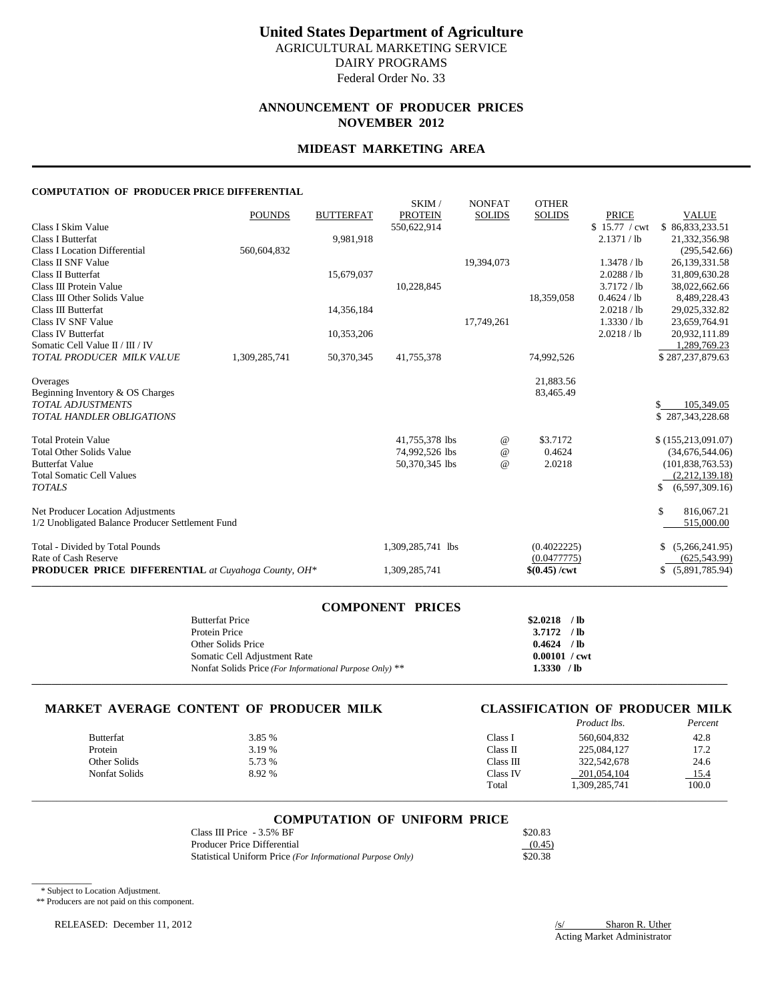# **ANNOUNCEMENT OF PRODUCER PRICES NOVEMBER 2012**

### **MIDEAST MARKETING AREA**

### **COMPUTATION OF PRODUCER PRICE DIFFERENTIAL**

|                                                            | <b>POUNDS</b> | <b>BUTTERFAT</b> | SKIM/<br><b>PROTEIN</b> | <b>NONFAT</b><br><b>SOLIDS</b> | <b>OTHER</b><br><b>SOLIDS</b> | <b>PRICE</b>  | <b>VALUE</b>         |
|------------------------------------------------------------|---------------|------------------|-------------------------|--------------------------------|-------------------------------|---------------|----------------------|
| Class I Skim Value                                         |               |                  | 550,622,914             |                                |                               | \$15.77 / cwt | \$86,833,233.51      |
| <b>Class I Butterfat</b>                                   |               | 9,981,918        |                         |                                |                               | 2.1371 / lb   | 21,332,356.98        |
| <b>Class I Location Differential</b>                       | 560,604,832   |                  |                         |                                |                               |               | (295, 542, 66)       |
| Class II SNF Value                                         |               |                  |                         | 19,394,073                     |                               | 1.3478 / lb   | 26,139,331.58        |
| Class II Butterfat                                         |               | 15,679,037       |                         |                                |                               | 2.0288 / lb   | 31,809,630.28        |
| Class III Protein Value                                    |               |                  | 10,228,845              |                                |                               | 3.7172 / lb   | 38,022,662.66        |
| Class III Other Solids Value                               |               |                  |                         |                                | 18,359,058                    | 0.4624 / lb   | 8,489,228.43         |
| Class III Butterfat                                        |               | 14,356,184       |                         |                                |                               | 2.0218 / lb   | 29,025,332.82        |
| Class IV SNF Value                                         |               |                  |                         | 17,749,261                     |                               | 1.3330 / lb   | 23,659,764.91        |
| <b>Class IV Butterfat</b>                                  |               | 10,353,206       |                         |                                |                               | 2.0218 / lb   | 20,932,111.89        |
| Somatic Cell Value II / III / IV                           |               |                  |                         |                                |                               |               | 1,289,769.23         |
| TOTAL PRODUCER MILK VALUE                                  | 1,309,285,741 | 50,370,345       | 41,755,378              |                                | 74,992,526                    |               | \$287,237,879.63     |
| Overages                                                   |               |                  |                         |                                | 21,883.56                     |               |                      |
| Beginning Inventory & OS Charges                           |               |                  |                         |                                | 83,465.49                     |               |                      |
| <b>TOTAL ADJUSTMENTS</b>                                   |               |                  |                         |                                |                               |               | 105,349.05<br>\$.    |
| TOTAL HANDLER OBLIGATIONS                                  |               |                  |                         |                                |                               |               | \$287,343,228.68     |
| <b>Total Protein Value</b>                                 |               |                  | 41,755,378 lbs          | $^{\circ}$                     | \$3.7172                      |               | \$(155, 213, 091.07) |
| <b>Total Other Solids Value</b>                            |               |                  | 74,992,526 lbs          | $^{\circ}$                     | 0.4624                        |               | (34,676,544.06)      |
| <b>Butterfat Value</b>                                     |               |                  | 50,370,345 lbs          | $^{\circ}$                     | 2.0218                        |               | (101, 838, 763.53)   |
| <b>Total Somatic Cell Values</b>                           |               |                  |                         |                                |                               |               | (2,212,139.18)       |
| <b>TOTALS</b>                                              |               |                  |                         |                                |                               |               | (6,597,309.16)       |
| Net Producer Location Adjustments                          |               |                  |                         |                                |                               |               | \$<br>816,067.21     |
| 1/2 Unobligated Balance Producer Settlement Fund           |               |                  |                         |                                |                               |               | 515,000.00           |
| Total - Divided by Total Pounds                            |               |                  | 1,309,285,741 lbs       |                                | (0.4022225)                   |               | (5,266,241.95)<br>S. |
| Rate of Cash Reserve                                       |               |                  |                         |                                | (0.0477775)                   |               | (625, 543.99)        |
| <b>PRODUCER PRICE DIFFERENTIAL</b> at Cuyahoga County, OH* |               |                  | 1,309,285,741           |                                | $$(0.45) / \text{cwt}$        |               | (5,891,785.94)<br>S. |
|                                                            |               |                  |                         |                                |                               |               |                      |

| <b>COMPONENT PRICES</b>                                 |                        |  |
|---------------------------------------------------------|------------------------|--|
| <b>Butterfat Price</b>                                  | $$2.0218$ /lb          |  |
| Protein Price                                           | $3.7172$ /lb           |  |
| Other Solids Price                                      | $0.4624$ /lb           |  |
| Somatic Cell Adjustment Rate                            | $0.00101 / \text{cwt}$ |  |
| Nonfat Solids Price (For Informational Purpose Only) ** | $1.3330$ /lb           |  |
|                                                         |                        |  |

# **MARKET AVERAGE CONTENT OF PRODUCER MILK CLASSIFICATION OF PRODUCER MILK** *Product lbs. Percent*

# *Product lbs.*

|               |        |           | -           | - - - - - - - - |
|---------------|--------|-----------|-------------|-----------------|
| Butterfat     | 3.85 % | Class 1   | 560,604,832 | 42.8            |
| Protein       | 3.19 % | Class II  | 225,084,127 | 17.2            |
| Other Solids  | 5.73 % | Class III | 322,542,678 | 24.6            |
| Nonfat Solids | 8.92 % | Class IV  | 201.054.104 | 15.4            |
|               |        | Total     | 309,285,741 | 100.0           |
|               |        |           |             |                 |

#### **COMPUTATION OF UNIFORM PRICE**

\_\_\_\_\_\_\_\_\_\_\_\_\_\_\_\_\_\_\_\_\_\_\_\_\_\_\_\_\_\_\_\_\_\_\_\_\_\_\_\_\_\_\_\_\_\_\_\_\_\_\_\_\_\_\_\_\_\_\_\_\_\_\_\_\_\_\_\_\_\_\_\_\_\_\_\_\_\_\_\_\_\_\_\_\_\_\_\_\_\_\_\_\_\_\_\_\_\_\_\_\_\_\_\_\_\_\_\_\_\_\_\_\_\_\_\_\_\_\_\_\_\_\_\_\_\_\_\_\_\_\_\_\_\_\_\_\_\_\_

| Class III Price $-3.5\%$ BF                                | \$20.83 |
|------------------------------------------------------------|---------|
| Producer Price Differential                                | (0.45)  |
| Statistical Uniform Price (For Informational Purpose Only) | \$20.38 |

\* Subject to Location Adjustment.

 $\overline{\phantom{a}}$ 

\*\* Producers are not paid on this component.

RELEASED: December 11, 2012

 $\frac{S}{\text{Acting Market Administration}}$